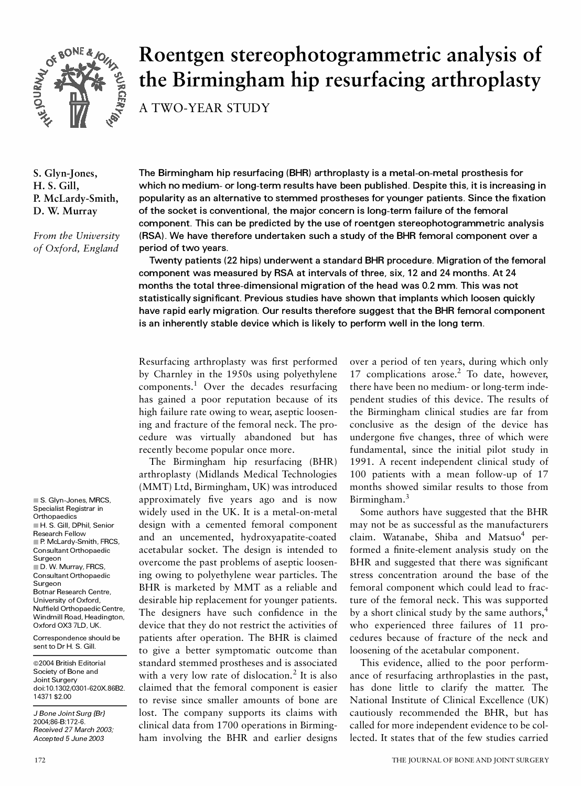

# **Roentgen stereophotogrammetric analysis of the Birmingham hip resurfacing arthroplasty**

A TWO-YEAR STUDY

**S. Glyn-Jones, H. S. Gill, P. McLardy-Smith, D. W. Murray**

*From the University of Oxford, England*

**The Birmingham hip resurfacing (BHR) arthroplasty is a metal-on-metal prosthesis for which no medium- or long-term results have been published. Despite this, it is increasing in**  popularity as an alternative to stemmed prostheses for younger patients. Since the fixation **of the socket is conventional, the major concern is long-term failure of the femoral component. This can be predicted by the use of roentgen stereophotogrammetric analysis (RSA). We have therefore undertaken such a study of the BHR femoral component over a period of two years.**

**Twenty patients (22 hips) underwent a standard BHR procedure. Migration of the femoral component was measured by RSA at intervals of three, six, 12 and 24 months. At 24 months the total three-dimensional migration of the head was 0.2 mm. This was not**  statistically significant. Previous studies have shown that implants which loosen quickly **have rapid early migration. Our results therefore suggest that the BHR femoral component is an inherently stable device which is likely to perform well in the long term.**

Resurfacing arthroplasty was first performed by Charnley in the 1950s using polyethylene components.<sup>1</sup> Over the decades resurfacing has gained a poor reputation because of its high failure rate owing to wear, aseptic loosening and fracture of the femoral neck. The procedure was virtually abandoned but has recently become popular once more.

The Birmingham hip resurfacing (BHR) arthroplasty (Midlands Medical Technologies (MMT) Ltd, Birmingham, UK) was introduced approximately five years ago and is now widely used in the UK. It is a metal-on-metal design with a cemented femoral component and an uncemented, hydroxyapatite-coated acetabular socket. The design is intended to overcome the past problems of aseptic loosening owing to polyethylene wear particles. The BHR is marketed by MMT as a reliable and desirable hip replacement for younger patients. The designers have such confidence in the device that they do not restrict the activities of patients after operation. The BHR is claimed to give a better symptomatic outcome than standard stemmed prostheses and is associated with a very low rate of dislocation.<sup>2</sup> It is also a claimed that the femoral component is easier to revise since smaller amounts of bone are lost. The company supports its claims with clinical data from 1700 operations in Birmingham involving the BHR and earlier designs

over a period of ten years, during which only 17 complications arose. $2$  To date, however, there have been no medium- or long-term independent studies of this device. The results of the Birmingham clinical studies are far from conclusive as the design of the device has undergone five changes, three of which were fundamental, since the initial pilot study in 1991. A recent independent clinical study of 100 patients with a mean follow-up of 17 months showed similar results to those from Birmingham.<sup>3</sup>

Some authors have suggested that the BHR may not be as successful as the manufacturers claim. Watanabe, Shiba and Matsuo<sup>4</sup> performed a finite-element analysis study on the BHR and suggested that there was significant stress concentration around the base of the femoral component which could lead to fracture of the femoral neck. This was supported by a short clinical study by the same authors,<sup>4</sup> who experienced three failures of 11 procedures because of fracture of the neck and loosening of the acetabular component.

This evidence, allied to the poor perform ance of resurfacing arthroplasties in the past, has done little to clarify the matter. The National Institute of Clinical Excellence (UK) cautiously recommended the BHR, but has called for more independent evidence to be collected. It states that of the few studies carried

Specialist Registrar in **Orthopaedics** H. S. Gill, DPhil, Senior Research Fellow P. McLardy-Smith, FRCS, Consultant Orthopaedic Surgeon D. W. Murray, FRCS, Consultant Orthopaedic **Surgeon** Botnar Research Centre, University of Oxford, Nuffield Orthopaedic Centre Windmill Road, Headington, Oxford OX3 7LD, UK.

■ S. Glyn-Jones, MRCS,

Correspondence should be sent to Dr H. S. Gill.

 2004 British Editorial Society of Bone and Joint Surgery doi:10.1302/0301-620X.86B2. 14371 \$2.00

*J Bone Joint Surg {Br}*  2004;86-B:172-6. *Received 27 March 2003; Accepted 5 June 2003*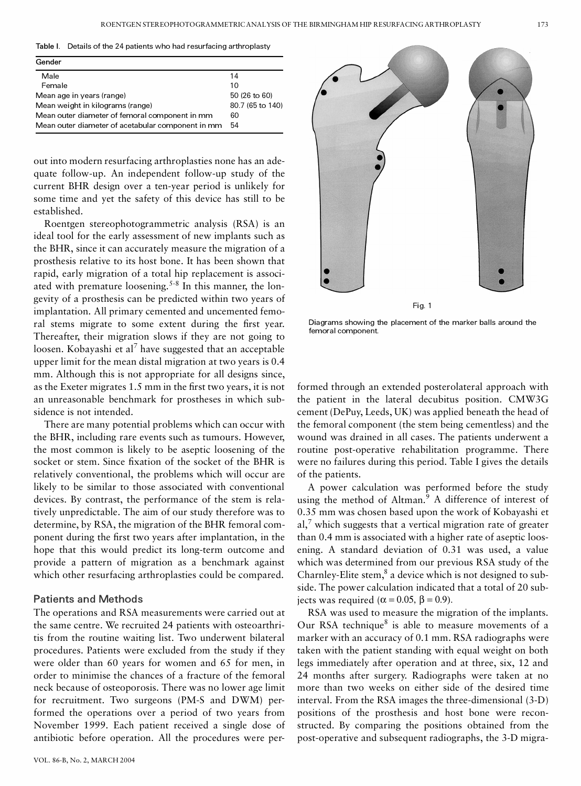**Table I.** Details of the 24 patients who had resurfacing arthroplasty

| Gender                                            | 14<br>10<br>50 (26 to 60)<br>80.7 (65 to 140)<br>60 |  |
|---------------------------------------------------|-----------------------------------------------------|--|
| Male                                              |                                                     |  |
| Female                                            |                                                     |  |
| Mean age in years (range)                         |                                                     |  |
| Mean weight in kilograms (range)                  |                                                     |  |
| Mean outer diameter of femoral component in mm    |                                                     |  |
| Mean outer diameter of acetabular component in mm | 54                                                  |  |

out into modern resurfacing arthroplasties none has an adequate follow-up. An independent follow-up study of the current BHR design over a ten-year period is unlikely for some time and yet the safety of this device has still to be established.

Roentgen stereophotogrammetric analysis (RSA) is an ideal tool for the early assessment of new implants such as the BHR, since it can accurately measure the migration of a prosthesis relative to its host bone. It has been shown that rapid, early migration of a total hip replacement is associated with premature loosening.<sup>5-8</sup> In this manner, the longevity of a prosthesis can be predicted within two years of implantation. All primary cemented and uncemented femoral stems migrate to some extent during the first year. Thereafter, their migration slows if they are not going to loosen. Kobayashi et al<sup>7</sup> have suggested that an acceptable upper limit for the mean distal migration at two years is 0.4 mm. Although this is not appropriate for all designs since, as the Exeter migrates 1.5 mm in the first two years, it is not an unreasonable benchmark for prostheses in which subsidence is not intended.

There are many potential problems which can occur with the BHR, including rare events such as tumours. However, the most common is likely to be aseptic loosening of the socket or stem. Since fixation of the socket of the BHR is relatively conventional, the problems which will occur are likely to be similar to those associated with conventional devices. By contrast, the performance of the stem is relatively unpredictable. The aim of our study therefore was to determine, by RSA, the migration of the BHR femoral com ponent during the first two years after implantation, in the hope that this would predict its long-term outcome and provide a pattern of migration as a benchmark against which other resurfacing arthroplasties could be compared.

## **Patients and Methods**

The operations and RSA measurements were carried out at the same centre. We recruited 24 patients with osteoarthritis from the routine waiting list. Two underwent bilateral procedures. Patients were excluded from the study if they were older than 60 years for women and 65 for men, in order to minimise the chances of a fracture of the femoral neck because of osteoporosis. There was no lower age limit for recruitment. Two surgeons (PM-S and DWM) performed the operations over a period of two years from November 1999. Each patient received a single dose of antibiotic before operation. All the procedures were per-



Diagrams showing the placement of the marker balls around the femoral component.

formed through an extended posterolateral approach with the patient in the lateral decubitus position. CMW3G cement (DePuy, Leeds, UK) was applied beneath the head of the femoral component (the stem being cementless) and the wound was drained in all cases. The patients underwent a routine post-operative rehabilitation programme. There were no failures during this period. Table I gives the details of the patients.

A power calculation was performed before the study using the method of Altman.<sup>9</sup> A difference of interest of 0.35 mm was chosen based upon the work of Kobayashi et  $aI$ ,<sup>7</sup> which suggests that a vertical migration rate of greater than 0.4 mm is associated with a higher rate of aseptic loosening. A standard deviation of 0.31 was used, a value which was determined from our previous RSA study of the Charnley-Elite stem, $^8$  a device which is not designed to subside. The power calculation indicated that a total of 20 subjects was required ( $\alpha$  = 0.05,  $\beta$  = 0.9).

RSA was used to measure the migration of the implants. Our RSA technique $8$  is able to measure movements of a marker with an accuracy of 0.1 mm. RSA radiographs were taken with the patient standing with equal weight on both legs immediately after operation and at three, six, 12 and 24 months after surgery. Radiographs were taken at no more than two weeks on either side of the desired time interval. From the RSA images the three-dimensional (3-D) positions of the prosthesis and host bone were reconstructed. By comparing the positions obtained from the post-operative and subsequent radiographs, the 3-D migra-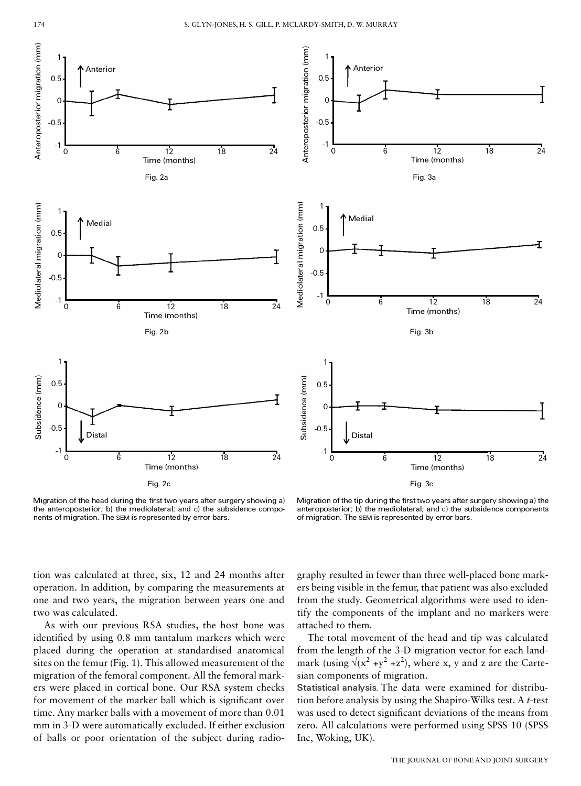



Migration of the head during the first two years after surgery showing a) the anteroposterior; b) the mediolateral; and c) the subsidence components of migration. The SEM is represented by error bars.

Migration of the tip during the first two years after surgery showing a) the anteroposterior; b) the mediolateral; and c) the subsidence components of migration. The SEM is represented by error bars.

tion was calculated at three, six, 12 and 24 months after operation. In addition, by comparing the measurements at one and two years, the migration between years one and two was calculated.

As with our previous RSA studies, the host bone was identified by using 0.8 mm tantalum markers which were placed during the operation at standardised anatomical sites on the femur (Fig. 1). This allowed measurement of the migration of the femoral component. All the femoral mark ers were placed in cortical bone. Our RSA system checks for movement of the marker ball which is significant over time. Any marker balls with a movement of more than 0.01 mm in 3-D were automatically excluded. If either exclusion of balls or poor orientation of the subject during radiography resulted in fewer than three well-placed bone mark ers being visible in the femur, that patient was also excluded from the study. Geometrical algorithms were used to identify the components of the implant and no markers were attached to them.

The total movement of the head and tip was calculated from the length of the 3-D migration vector for each landmark (using  $\sqrt{x^2 + y^2 + z^2}$ ), where x, y and z are the Cartesian components of migration.

**Statistical analysis.** The data were examined for distribution before analysis by using the Shapiro-Wilks test. A *t*-test was used to detect significant deviations of the means from zero. All calculations were performed using SPSS 10 (SPSS Inc, Woking, UK).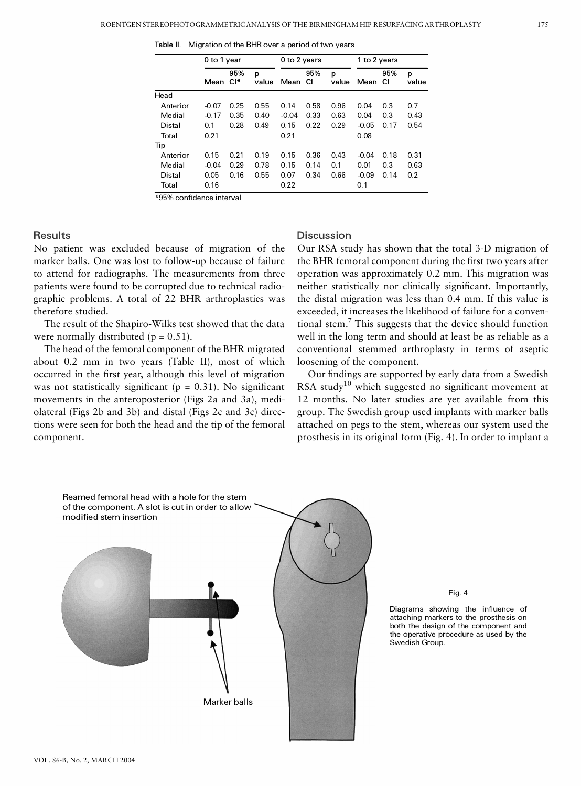**Table II.** Migration of the BHR over a period of two years

|          | 0 to 1 year |              |            | 0 to 2 years |           |            | 1 to 2 years |           |            |
|----------|-------------|--------------|------------|--------------|-----------|------------|--------------|-----------|------------|
|          | Mean        | 95%<br>$Cl*$ | p<br>value | Mean         | 95%<br>СI | p<br>value | Mean         | 95%<br>СI | p<br>value |
| Head     |             |              |            |              |           |            |              |           |            |
| Anterior | $-0.07$     | 0.25         | 0.55       | 0.14         | 0.58      | 0.96       | 0.04         | 0.3       | 0.7        |
| Medial   | $-0.17$     | 0.35         | 0.40       | $-0.04$      | 0.33      | 0.63       | 0.04         | 0.3       | 0.43       |
| Distal   | 0.1         | 0.28         | 0.49       | 0.15         | 0.22      | 0.29       | $-0.05$      | 0.17      | 0.54       |
| Total    | 0.21        |              |            | 0.21         |           |            | 0.08         |           |            |
| Tip      |             |              |            |              |           |            |              |           |            |
| Anterior | 0.15        | 0.21         | 0.19       | 0.15         | 0.36      | 0.43       | $-0.04$      | 0.18      | 0.31       |
| Medial   | $-0.04$     | 0.29         | 0.78       | 0.15         | 0.14      | 0.1        | 0.01         | 0.3       | 0.63       |
| Distal   | 0.05        | 0.16         | 0.55       | 0.07         | 0.34      | 0.66       | $-0.09$      | 0.14      | 0.2        |
| Total    | 0.16        |              |            | 0.22         |           |            | 0.1          |           |            |

### **Results**

No patient was excluded because of migration of the marker balls. One was lost to follow-up because of failure to attend for radiographs. The measurements from three patients were found to be corrupted due to technical radiographic problems. A total of 22 BHR arthroplasties was therefore studied.

The result of the Shapiro-Wilks test showed that the data were normally distributed  $(p = 0.51)$ .

The head of the femoral component of the BHR migrated about 0.2 mm in two years (Table II), most of which occurred in the first year, although this level of migration was not statistically significant ( $p = 0.31$ ). No significant movements in the anteroposterior (Figs 2a and 3a), mediolateral (Figs 2b and 3b) and distal (Figs 2c and 3c) directions were seen for both the head and the tip of the femoral component.

## **Discussion**

Our RSA study has shown that the total 3-D migration of the BHR femoral component during the first two years after operation was approximately 0.2 mm. This migration was neither statistically nor clinically significant. Importantly, the distal migration was less than 0.4 mm. If this value is exceeded, it increases the likelihood of failure for a conventional stem.<sup>7</sup> This suggests that the device should function well in the long term and should at least be as reliable as a conventional stemmed arthroplasty in terms of aseptic loosening of the component.

Our findings are supported by early data from a Swedish RSA study<sup>10</sup> which suggested no significant movement at 12 months. No later studies are yet available from this group. The Swedish group used implants with marker balls attached on pegs to the stem, whereas our system used the prosthesis in its original form (Fig. 4). In order to implant a



Fig. 4

Diagrams showing the influence of attaching markers to the prosthesis on both the design of the component and the operative procedure as used by the Swedish Group.